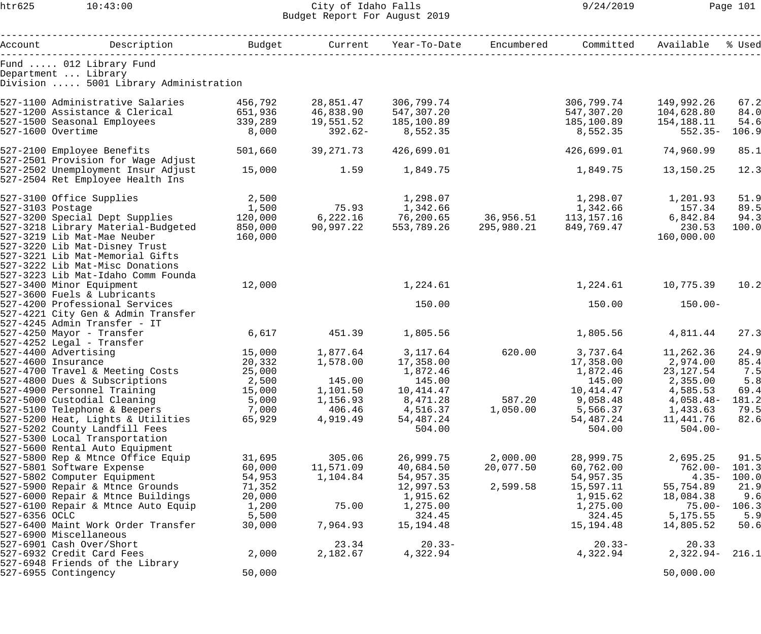## htr625 10:43:00 City of Idaho Falls 9/24/2019 Page 101 Budget Report For August 2019

|                          | Account Description                                             | Budget  |                      | Current Year-To-Date Encumbered                 |                                  | Committed          | Available             | % Used |
|--------------------------|-----------------------------------------------------------------|---------|----------------------|-------------------------------------------------|----------------------------------|--------------------|-----------------------|--------|
| Department  Library      | Fund  012 Library Fund                                          |         |                      |                                                 |                                  |                    |                       |        |
|                          | Division  5001 Library Administration                           |         |                      |                                                 |                                  |                    |                       |        |
|                          | 527-1100 Administrative Salaries                                | 456,792 | 28,851.47            | 306,799.74                                      |                                  | 306,799.74         | 149,992.26            | 67.2   |
|                          | 527-1200 Assistance & Clerical 651,936                          |         | 46,838.90 547,307.20 |                                                 |                                  | 547,307.20         | 104,628.80            | 84.0   |
|                          | 527-1500 Seasonal Employees                                     | 339,289 | 19,551.52            | 185,100.89                                      |                                  | 185,100.89         | 154,188.11            | 54.6   |
| 527-1600 Overtime        |                                                                 | 8,000   | 392.62-              | 8,552.35                                        |                                  | 8,552.35           | $552.35-$             | 106.9  |
|                          | 527-2100 Employee Benefits                                      | 501,660 | 39,271.73            | 426,699.01                                      |                                  | 426,699.01         | 74,960.99             | 85.1   |
|                          | 527-2501 Provision for Wage Adjust                              |         |                      |                                                 |                                  |                    |                       |        |
|                          | 527-2502 Unemployment Insur Adjust                              | 15,000  | 1.59                 | 1,849.75                                        |                                  | 1,849.75           | 13,150.25             | 12.3   |
|                          | 527-2504 Ret Employee Health Ins                                |         |                      |                                                 |                                  |                    |                       |        |
|                          | 527-3100 Office Supplies                                        | 2,500   |                      | 1,298.07                                        |                                  | 1,298.07           | 1,201.93              | 51.9   |
| 527-3103 Postage         |                                                                 | 1,500   |                      | 75.93 1,342.66                                  |                                  | 1,342.66           | 157.34                | 89.5   |
|                          | 527-3200 Special Dept Supplies                                  | 120,000 |                      | $6,222.16$ $76,200.65$ $36,956.51$ $113,157.16$ |                                  |                    | 6,842.84              | 94.3   |
|                          | 527-3218 Library Material-Budgeted                              | 850,000 | 90,997.22            |                                                 | 553,789.26 295,980.21 849,769.47 |                    | 230.53                | 100.0  |
|                          | 527-3219 Lib Mat-Mae Neuber                                     | 160,000 |                      |                                                 |                                  |                    | 160,000.00            |        |
|                          | 527-3220 Lib Mat-Disney Trust                                   |         |                      |                                                 |                                  |                    |                       |        |
|                          | 527-3221 Lib Mat-Memorial Gifts                                 |         |                      |                                                 |                                  |                    |                       |        |
|                          | 527-3222 Lib Mat-Misc Donations                                 |         |                      |                                                 |                                  |                    |                       |        |
|                          | 527-3223 Lib Mat-Idaho Comm Founda                              |         |                      |                                                 |                                  |                    |                       |        |
| 527-3400 Minor Equipment | 527-3600 Fuels & Lubricants                                     | 12,000  |                      | 1,224.61                                        |                                  |                    | 1,224.61    10,775.39 | 10.2   |
|                          | 527-4200 Professional Services                                  |         |                      | 150.00                                          |                                  | 150.00             | $150.00 -$            |        |
|                          | 527-4221 City Gen & Admin Transfer                              |         |                      |                                                 |                                  |                    |                       |        |
|                          | 527-4245 Admin Transfer - IT                                    |         |                      |                                                 |                                  |                    |                       |        |
|                          | 527-4250 Mayor - Transfer                                       | 6,617   | 451.39               | 1,805.56                                        |                                  | 1,805.56           | 4,811.44              | 27.3   |
|                          | 527-4252 Legal - Transfer                                       |         |                      |                                                 |                                  |                    |                       |        |
| 527-4400 Advertising     |                                                                 | 15,000  | 1,877.64 3,117.64    |                                                 |                                  | 620.00 3,737.64    | 11,262.36             | 24.9   |
| 527-4600 Insurance       |                                                                 | 20,332  |                      | 1,578.00    17,358.00                           |                                  | 17,358.00 2,974.00 |                       | 85.4   |
|                          | 527-4700 Travel & Meeting Costs                                 | 25,000  |                      | 1,872.46                                        |                                  | 1,872.46           | 23,127.54             | 7.5    |
|                          | 527-4800 Dues & Subscriptions                                   | 2,500   | 145.00               | 145.00                                          |                                  | 145.00             | 2,355.00              | 5.8    |
|                          | 527-4900 Personnel Training                                     | 15,000  | 1,101.50             | 10,414.47                                       |                                  | 10, 414. 47        | 4,585.53              | 69.4   |
|                          | 527-5000 Custodial Cleaning                                     | 5,000   | 1,156.93             | 8,471.28                                        | 587.20                           | 9,058.48           | $4,058.48-$           | 181.2  |
|                          | 527-5100 Telephone & Beepers                                    | 7,000   | 406.46               | 4,516.37                                        | 1,050.00                         | 5,566.37           | 1,433.63              | 79.5   |
|                          | 527-5200 Heat, Lights & Utilities                               | 65,929  | 4,919.49             | 54,487.24                                       |                                  | 54,487.24          | 11,441.76             | 82.6   |
|                          | 527-5202 County Landfill Fees                                   |         |                      | 504.00                                          |                                  | 504.00             | $504.00 -$            |        |
|                          | 527-5300 Local Transportation<br>527-5600 Rental Auto Equipment |         |                      |                                                 |                                  |                    |                       |        |
|                          | 527-5800 Rep & Mtnce Office Equip                               | 31,695  | 305.06               | 26,999.75                                       | 2,000.00                         | 28,999.75          | 2,695.25              | 91.5   |
|                          | 527-5801 Software Expense                                       | 60,000  | 11,571.09            | 40,684.50                                       | 20,077.50                        | 60,762.00          | $762.00 -$            | 101.3  |
|                          | 527-5802 Computer Equipment                                     | 54,953  | 1,104.84             | 54,957.35                                       |                                  | 54,957.35          | $4.35-$               | 100.0  |
|                          | 527-5900 Repair & Mtnce Grounds                                 | 71,352  |                      | 12,997.53                                       | 2,599.58                         | 15,597.11          | 55,754.89             | 21.9   |
|                          | 527-6000 Repair & Mtnce Buildings                               | 20,000  |                      | 1,915.62                                        |                                  | 1,915.62           | 18,084.38             | 9.6    |
|                          | 527-6100 Repair & Mtnce Auto Equip                              | 1,200   | 75.00                | 1,275.00                                        |                                  | 1,275.00           | $75.00 -$             | 106.3  |
| 527-6356 OCLC            |                                                                 | 5,500   |                      | 324.45                                          |                                  | 324.45             | 5, 175.55             | 5.9    |
|                          | 527-6400 Maint Work Order Transfer                              | 30,000  | 7,964.93             | 15,194.48                                       |                                  | 15, 194. 48        | 14,805.52             | 50.6   |
| 527-6900 Miscellaneous   |                                                                 |         |                      |                                                 |                                  |                    |                       |        |
| 527-6901 Cash Over/Short |                                                                 |         | 23.34                | $20.33-$                                        |                                  | $20.33-$           | 20.33                 |        |
|                          | 527-6932 Credit Card Fees                                       | 2,000   | 2,182.67             | 4,322.94                                        |                                  | 4,322.94           | $2,322.94-$           | 216.1  |
|                          | 527-6948 Friends of the Library                                 |         |                      |                                                 |                                  |                    |                       |        |
| 527-6955 Contingency     |                                                                 | 50,000  |                      |                                                 |                                  |                    | 50,000.00             |        |
|                          |                                                                 |         |                      |                                                 |                                  |                    |                       |        |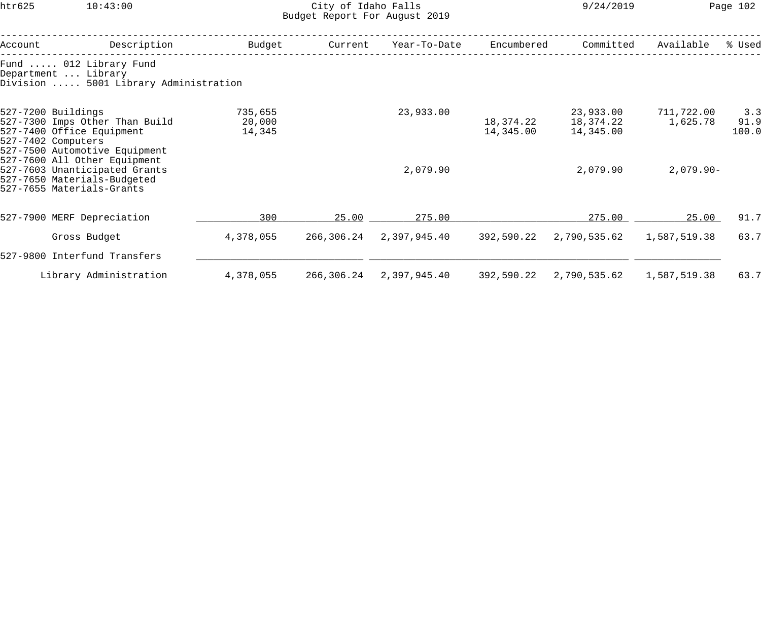## htr625 10:43:00 City of Idaho Falls 9/24/2019 Page 102 Budget Report For August 2019

| Account                                                                                                                                                                                                                                                               | Description                                                                            | Budget                      | Current    | Year-To-Date            | Encumbered             | Committed                           | Available              | % Used               |
|-----------------------------------------------------------------------------------------------------------------------------------------------------------------------------------------------------------------------------------------------------------------------|----------------------------------------------------------------------------------------|-----------------------------|------------|-------------------------|------------------------|-------------------------------------|------------------------|----------------------|
|                                                                                                                                                                                                                                                                       | Fund  012 Library Fund<br>Department  Library<br>Division  5001 Library Administration |                             |            |                         |                        |                                     |                        |                      |
| 527-7200 Buildings<br>527-7300 Imps Other Than Build<br>527-7400 Office Equipment<br>527-7402 Computers<br>527-7500 Automotive Equipment<br>527-7600 All Other Equipment<br>527-7603 Unanticipated Grants<br>527-7650 Materials-Budgeted<br>527-7655 Materials-Grants |                                                                                        | 735,655<br>20,000<br>14,345 |            | 23,933.00               | 18,374.22<br>14,345.00 | 23,933.00<br>18,374.22<br>14,345.00 | 711,722.00<br>1,625.78 | 3.3<br>91.9<br>100.0 |
|                                                                                                                                                                                                                                                                       |                                                                                        |                             |            | 2,079.90                |                        | 2,079.90                            | $2,079.90 -$           |                      |
|                                                                                                                                                                                                                                                                       | 527-7900 MERF Depreciation                                                             | 300                         | 25.00      | 275.00                  |                        | 275.00                              | 25.00                  | 91.7                 |
|                                                                                                                                                                                                                                                                       | Gross Budget                                                                           | 4,378,055                   |            | 266,306.24 2,397,945.40 | 392,590.22             | 2,790,535.62                        | 1,587,519.38           | 63.7                 |
|                                                                                                                                                                                                                                                                       | 527-9800 Interfund Transfers                                                           |                             |            |                         |                        |                                     |                        |                      |
|                                                                                                                                                                                                                                                                       | Library Administration                                                                 | 4,378,055                   | 266,306.24 | 2,397,945.40            | 392,590.22             | 2,790,535.62                        | 1,587,519.38           | 63.7                 |
|                                                                                                                                                                                                                                                                       |                                                                                        |                             |            |                         |                        |                                     |                        |                      |